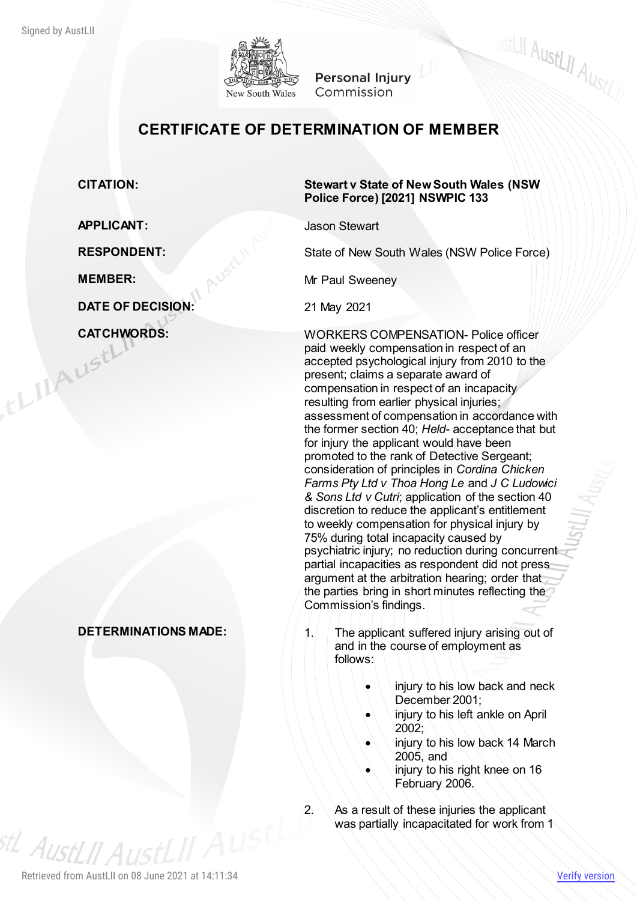

**Personal Injury** Commission

# **CERTIFICATE OF DETERMINATION OF MEMBER**

#### **CITATION: Stewart v State of New South Wales (NSW Police Force) [2021] NSWPIC 133**

**WEELIT AUSTLIT AUSTLY** 

**APPLICANT:** Jason Stewart

**RESPONDENT:** State of New South Wales (NSW Police Force)

**MEMBER:** Mr Paul Sweeney

**CATCHWORDS:**<br>
WORKERS COMPENSATION- Police officer<br>
paid weekly compensation in respect of an<br>
accepted psychological injury from 2010 to the<br>
present; claims a senarch paid weekly compensation in respect of an accepted psychological injury from 2010 to the present; claims a separate award of compensation in respect of an incapacity resulting from earlier physical injuries; assessment of compensation in accordance with the former section 40; *Held-* acceptance that but for injury the applicant would have been promoted to the rank of Detective Sergeant; consideration of principles in *Cordina Chicken Farms Pty Ltd v Thoa Hong Le* and *J C Ludowici & Sons Ltd v Cutri*; application of the section 40 discretion to reduce the applicant's entitlement to weekly compensation for physical injury by 75% during total incapacity caused by psychiatric injury; no reduction during concurrent partial incapacities as respondent did not press argument at the arbitration hearing; order that the parties bring in short minutes reflecting the Commission's findings.

- **DETERMINATIONS MADE:** 1. The applicant suffered injury arising out of and in the course of employment as follows:
	- injury to his low back and neck December 2001;
	- injury to his left ankle on April 2002;
	- injury to his low back 14 March 2005, and
	- injury to his right knee on 16 February 2006.
	- 2.  $\land$  As a result of these injuries the applicant was partially incapacitated for work from 1

**DATE OF DECISION:** 21 May 2021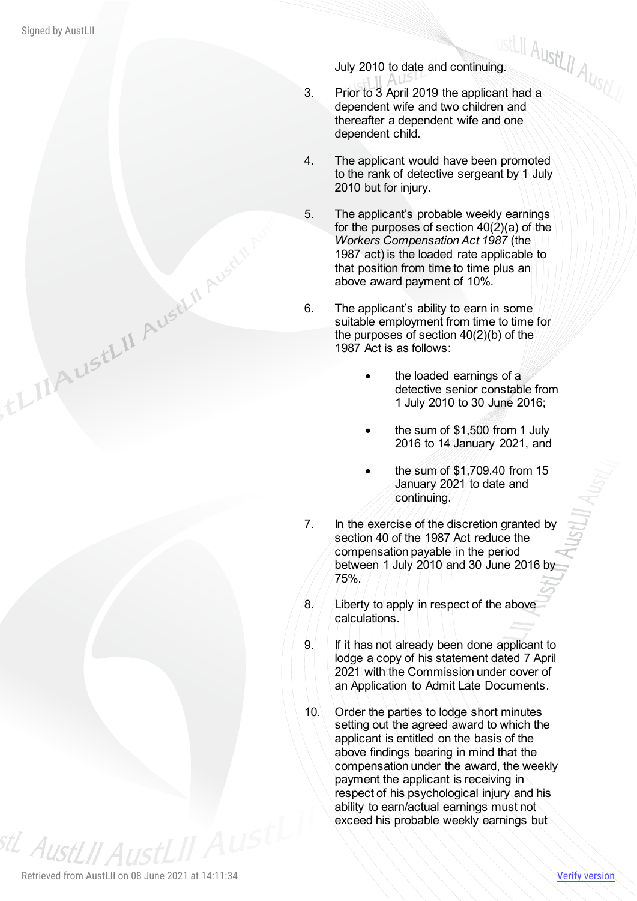- July 2010 to date and continuing. 3. Prior to 3 April 2019 the applicant had a dependent wife and two children and thereafter a dependent wife and one dependent child.
- 4. The applicant would have been promoted to the rank of detective sergeant by 1 July 2010 but for injury.
- 5. The applicant's probable weekly earnings for the purposes of section 40(2)(a) of the *Workers Compensation Act 1987* (the 1987 act) is the loaded rate applicable to that position from time to time plus an above award payment of 10%.
- 6. The applicant's ability to earn in some suitable employment from time to time for the purposes of section 40(2)(b) of the 1987 Act is as follows:
	- the loaded earnings of a detective senior constable from 1 July 2010 to 30 June 2016;
	- the sum of \$1,500 from 1 July 2016 to 14 January 2021, and
	- the sum of \$1,709.40 from 15 January 2021 to date and continuing.
- 7. In the exercise of the discretion granted by section 40 of the 1987 Act reduce the compensation payable in the period between 1 July 2010 and 30 June 2016 by 75%.
- 8. Liberty to apply in respect of the above calculations.
- 9. If it has not already been done applicant to lodge a copy of his statement dated 7 April 2021 with the Commission under cover of an Application to Admit Late Documents.
- 10. Order the parties to lodge short minutes setting out the agreed award to which the applicant is entitled on the basis of the above findings bearing in mind that the compensation under the award, the weekly payment the applicant is receiving in respect of his psychological injury and his ability to earn/actual earnings must not exceed his probable weekly earnings but

<sup>stL</sup> AustLII Aus

ELILAUSELII AUSELII Aust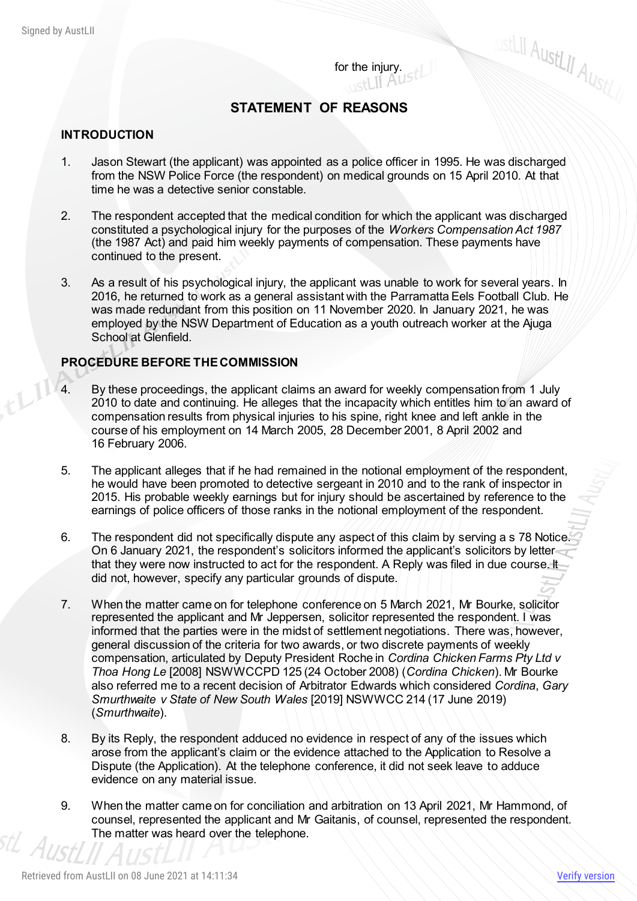for the injury.  $\|$  H<sub>211</sub>

## **STATEMENT OF REASONS**

#### **INTRODUCTION**

- 1. Jason Stewart (the applicant) was appointed as a police officer in 1995. He was discharged from the NSW Police Force (the respondent) on medical grounds on 15 April 2010. At that time he was a detective senior constable.
- 2. The respondent accepted that the medical condition for which the applicant was discharged constituted a psychological injury for the purposes of the *Workers Compensation Act 1987* (the 1987 Act) and paid him weekly payments of compensation. These payments have continued to the present.
- 3. As a result of his psychological injury, the applicant was unable to work for several years. In 2016, he returned to work as a general assistant with the Parramatta Eels Football Club. He was made redundant from this position on 11 November 2020. In January 2021, he was employed by the NSW Department of Education as a youth outreach worker at the Ajuga School at Glenfield.

#### **PROCEDURE BEFORE THE COMMISSION**

- 4. By these proceedings, the applicant claims an award for weekly compensation from 1 July 2010 to date and continuing. He alleges that the incapacity which entitles him to an award of compensation results from physical injuries to his spine, right knee and left ankle in the course of his employment on 14 March 2005, 28 December 2001, 8 April 2002 and 16 February 2006.
- 5. The applicant alleges that if he had remained in the notional employment of the respondent, he would have been promoted to detective sergeant in 2010 and to the rank of inspector in 2015. His probable weekly earnings but for injury should be ascertained by reference to the earnings of police officers of those ranks in the notional employment of the respondent.
- 6. The respondent did not specifically dispute any aspect of this claim by serving a s 78 Notice. On 6 January 2021, the respondent's solicitors informed the applicant's solicitors by letter that they were now instructed to act for the respondent. A Reply was filed in due course. It did not, however, specify any particular grounds of dispute.
- 7. When the matter came on for telephone conference on 5 March 2021, Mr Bourke, solicitor represented the applicant and Mr Jeppersen, solicitor represented the respondent. I was informed that the parties were in the midst of settlement negotiations. There was, however, general discussion of the criteria for two awards, or two discrete payments of weekly compensation, articulated by Deputy President Roche in *Cordina Chicken Farms Pty Ltd v Thoa Hong Le* [2008] NSWWCCPD 125 (24 October 2008) (*Cordina Chicken*). Mr Bourke also referred me to a recent decision of Arbitrator Edwards which considered *Cordina*, *Gary Smurthwaite v State of New South Wales* [2019] NSWWCC 214 (17 June 2019) (*Smurthwaite*).
- 8. By its Reply, the respondent adduced no evidence in respect of any of the issues which arose from the applicant's claim or the evidence attached to the Application to Resolve a Dispute (the Application). At the telephone conference, it did not seek leave to adduce evidence on any material issue.
- 9. When the matter came on for conciliation and arbitration on 13 April 2021, Mr Hammond, of counsel, represented the applicant and Mr Gaitanis, of counsel, represented the respondent. The matter was heard over the telephone.

**WEELIT AUSTLIT AUSTLIN**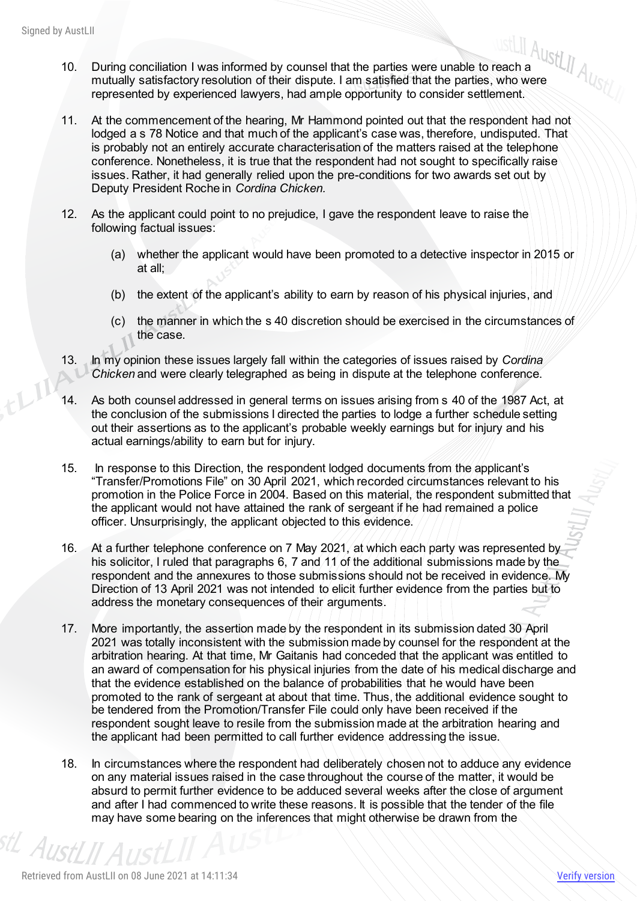- AustLII<br>10. During conciliation I was informed by counsel that the parties were unable to reach a<br>10. During conciliation I was informed by counsel that the parties were unable to reach a<br>10. During conciliation I was inf mutually satisfactory resolution of their dispute. I am satisfied that the parties, who were represented by experienced lawyers, had ample opportunity to consider settlement.
- 11. At the commencement of the hearing, Mr Hammond pointed out that the respondent had not lodged a s 78 Notice and that much of the applicant's case was, therefore, undisputed. That is probably not an entirely accurate characterisation of the matters raised at the telephone conference. Nonetheless, it is true that the respondent had not sought to specifically raise issues. Rather, it had generally relied upon the pre-conditions for two awards set out by Deputy President Roche in *Cordina Chicken.*
- 12. As the applicant could point to no prejudice, I gave the respondent leave to raise the following factual issues:
	- (a) whether the applicant would have been promoted to a detective inspector in 2015 or at all;
	- (b) the extent of the applicant's ability to earn by reason of his physical injuries, and
	- (c) the manner in which the s 40 discretion should be exercised in the circumstances of the case.
- 13. In my opinion these issues largely fall within the categories of issues raised by *Cordina Chicken* and were clearly telegraphed as being in dispute at the telephone conference.
- 14. As both counsel addressed in general terms on issues arising from s 40 of the 1987 Act, at the conclusion of the submissions I directed the parties to lodge a further schedule setting out their assertions as to the applicant's probable weekly earnings but for injury and his actual earnings/ability to earn but for injury.
- 15. In response to this Direction, the respondent lodged documents from the applicant's "Transfer/Promotions File" on 30 April 2021, which recorded circumstances relevant to his promotion in the Police Force in 2004. Based on this material, the respondent submitted that the applicant would not have attained the rank of sergeant if he had remained a police officer. Unsurprisingly, the applicant objected to this evidence.
- 16. At a further telephone conference on 7 May 2021, at which each party was represented by his solicitor, I ruled that paragraphs 6, 7 and 11 of the additional submissions made by the respondent and the annexures to those submissions should not be received in evidence. My Direction of 13 April 2021 was not intended to elicit further evidence from the parties but to address the monetary consequences of their arguments.
- 17. More importantly, the assertion made by the respondent in its submission dated 30 April 2021 was totally inconsistent with the submission made by counsel for the respondent at the arbitration hearing. At that time, Mr Gaitanis had conceded that the applicant was entitled to an award of compensation for his physical injuries from the date of his medical discharge and that the evidence established on the balance of probabilities that he would have been promoted to the rank of sergeant at about that time. Thus, the additional evidence sought to be tendered from the Promotion/Transfer File could only have been received if the respondent sought leave to resile from the submission made at the arbitration hearing and the applicant had been permitted to call further evidence addressing the issue.
- 18. In circumstances where the respondent had deliberately chosen not to adduce any evidence on any material issues raised in the case throughout the course of the matter, it would be absurd to permit further evidence to be adduced several weeks after the close of argument and after I had commenced to write these reasons. It is possible that the tender of the file may have some bearing on the inferences that might otherwise be drawn from the

<sup>stL</sup> AustLII A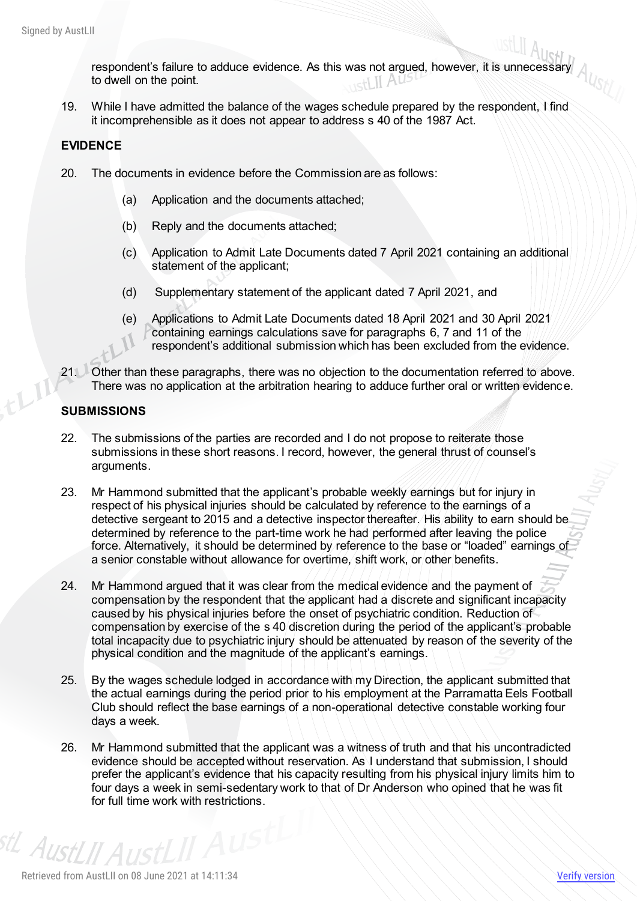respondent's failure to adduce evidence. As this was not argued, however, it is unnecessary to dwell on the point.

19. While I have admitted the balance of the wages schedule prepared by the respondent, I find it incomprehensible as it does not appear to address s 40 of the 1987 Act.

### **EVIDENCE**

- 20. The documents in evidence before the Commission are as follows:
	- (a) Application and the documents attached;
	- (b) Reply and the documents attached;
	- (c) Application to Admit Late Documents dated 7 April 2021 containing an additional statement of the applicant;
	- (d) Supplementary statement of the applicant dated 7 April 2021, and
	- (e) Applications to Admit Late Documents dated 18 April 2021 and 30 April 2021 containing earnings calculations save for paragraphs 6, 7 and 11 of the respondent's additional submission which has been excluded from the evidence.
- 21. Other than these paragraphs, there was no objection to the documentation referred to above. There was no application at the arbitration hearing to adduce further oral or written evidence.

#### **SUBMISSIONS**

- 22. The submissions of the parties are recorded and I do not propose to reiterate those submissions in these short reasons. I record, however, the general thrust of counsel's arguments.
- 23. Mr Hammond submitted that the applicant's probable weekly earnings but for injury in respect of his physical injuries should be calculated by reference to the earnings of a detective sergeant to 2015 and a detective inspector thereafter. His ability to earn should be determined by reference to the part-time work he had performed after leaving the police force. Alternatively, it should be determined by reference to the base or "loaded" earnings of a senior constable without allowance for overtime, shift work, or other benefits.
- 24. Mr Hammond argued that it was clear from the medical evidence and the payment of compensation by the respondent that the applicant had a discrete and significant incapacity caused by his physical injuries before the onset of psychiatric condition. Reduction of compensation by exercise of the s 40 discretion during the period of the applicant's probable total incapacity due to psychiatric injury should be attenuated by reason of the severity of the physical condition and the magnitude of the applicant's earnings.
- 25. By the wages schedule lodged in accordance with my Direction, the applicant submitted that the actual earnings during the period prior to his employment at the Parramatta Eels Football Club should reflect the base earnings of a non-operational detective constable working four days a week.
- 26. Mr Hammond submitted that the applicant was a witness of truth and that his uncontradicted evidence should be accepted without reservation. As I understand that submission, I should prefer the applicant's evidence that his capacity resulting from his physical injury limits him to four days a week in semi-sedentary work to that of Dr Anderson who opined that he was fit for full time work with restrictions.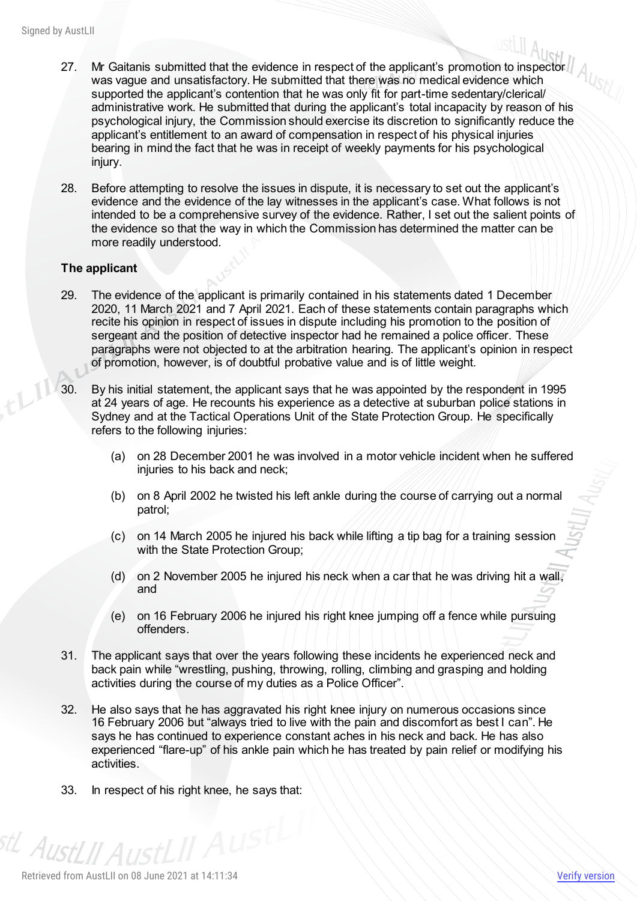- 27. Mr Gaitanis submitted that the evidence in respect of the applicant's promotion to inspector was vague and unsatisfactory. He submitted that there was no medical evidence which supported the applicant's contention that he was only fit for part-time sedentary/clerical/ administrative work. He submitted that during the applicant's total incapacity by reason of his psychological injury, the Commission should exercise its discretion to significantly reduce the applicant's entitlement to an award of compensation in respect of his physical injuries bearing in mind the fact that he was in receipt of weekly payments for his psychological injury.
- 28. Before attempting to resolve the issues in dispute, it is necessary to set out the applicant's evidence and the evidence of the lay witnesses in the applicant's case. What follows is not intended to be a comprehensive survey of the evidence. Rather, I set out the salient points of the evidence so that the way in which the Commission has determined the matter can be more readily understood.

#### **The applicant**

- 29. The evidence of the applicant is primarily contained in his statements dated 1 December 2020, 11 March 2021 and 7 April 2021. Each of these statements contain paragraphs which recite his opinion in respect of issues in dispute including his promotion to the position of sergeant and the position of detective inspector had he remained a police officer. These paragraphs were not objected to at the arbitration hearing. The applicant's opinion in respect of promotion, however, is of doubtful probative value and is of little weight.
- 30. By his initial statement, the applicant says that he was appointed by the respondent in 1995 at 24 years of age. He recounts his experience as a detective at suburban police stations in Sydney and at the Tactical Operations Unit of the State Protection Group. He specifically refers to the following injuries:
	- (a) on 28 December 2001 he was involved in a motor vehicle incident when he suffered injuries to his back and neck;
	- (b) on 8 April 2002 he twisted his left ankle during the course of carrying out a normal patrol;
	- (c) on 14 March 2005 he injured his back while lifting a tip bag for a training session with the State Protection Group;
	- (d) on 2 November 2005 he injured his neck when a car that he was driving hit a wall, and
	- (e) on 16 February 2006 he injured his right knee jumping off a fence while pursuing offenders.
- 31. The applicant says that over the years following these incidents he experienced neck and back pain while "wrestling, pushing, throwing, rolling, climbing and grasping and holding activities during the course of my duties as a Police Officer".
- 32. He also says that he has aggravated his right knee injury on numerous occasions since 16 February 2006 but "always tried to live with the pain and discomfort as best I can". He says he has continued to experience constant aches in his neck and back. He has also experienced "flare-up" of his ankle pain which he has treated by pain relief or modifying his activities.
- 33. In respect of his right knee, he says that:

<sup>stL</sup> AustLII AustLII Austl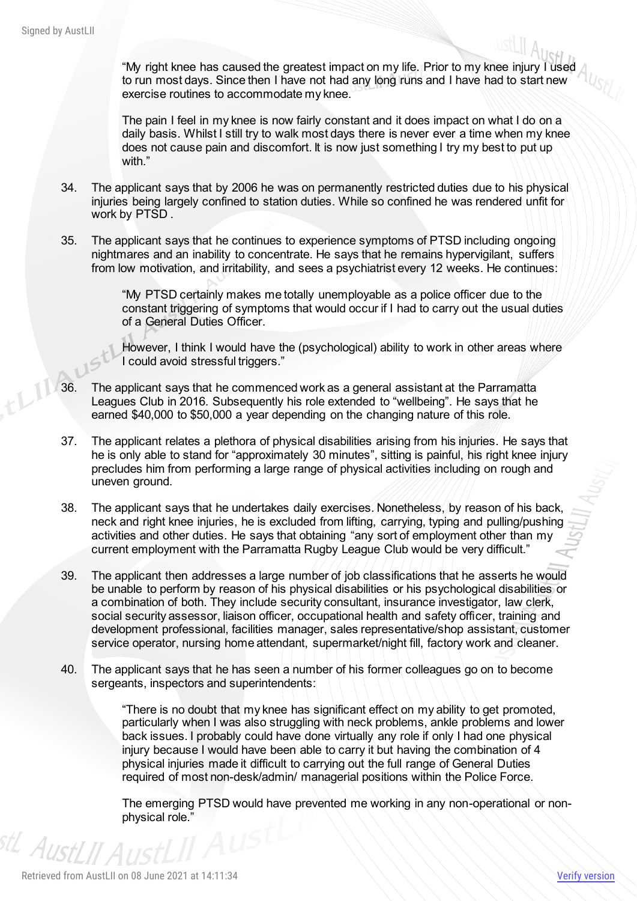"My right knee has caused the greatest impact on my life. Prior to my knee injury I used to run most days. Since then I have not had any long runs and I have had to start new exercise routines to accommodate my knee.

The pain I feel in my knee is now fairly constant and it does impact on what I do on a daily basis. Whilst I still try to walk most days there is never ever a time when my knee does not cause pain and discomfort. It is now just something I try my best to put up with."

- 34. The applicant says that by 2006 he was on permanently restricted duties due to his physical injuries being largely confined to station duties. While so confined he was rendered unfit for work by PTSD .
- 35. The applicant says that he continues to experience symptoms of PTSD including ongoing nightmares and an inability to concentrate. He says that he remains hypervigilant, suffers from low motivation, and irritability, and sees a psychiatrist every 12 weeks. He continues:

"My PTSD certainly makes me totally unemployable as a police officer due to the constant triggering of symptoms that would occur if I had to carry out the usual duties of a General Duties Officer.

However, I think I would have the (psychological) ability to work in other areas where I could avoid stressful triggers."

- 36. The applicant says that he commenced work as a general assistant at the Parramatta Leagues Club in 2016. Subsequently his role extended to "wellbeing". He says that he earned \$40,000 to \$50,000 a year depending on the changing nature of this role.
- 37. The applicant relates a plethora of physical disabilities arising from his injuries. He says that he is only able to stand for "approximately 30 minutes", sitting is painful, his right knee injury precludes him from performing a large range of physical activities including on rough and uneven ground.
- 38. The applicant says that he undertakes daily exercises. Nonetheless, by reason of his back, neck and right knee injuries, he is excluded from lifting, carrying, typing and pulling/pushing activities and other duties. He says that obtaining "any sort of employment other than my current employment with the Parramatta Rugby League Club would be very difficult."
- 39. The applicant then addresses a large number of job classifications that he asserts he would be unable to perform by reason of his physical disabilities or his psychological disabilities or a combination of both. They include security consultant, insurance investigator, law clerk, social security assessor, liaison officer, occupational health and safety officer, training and development professional, facilities manager, sales representative/shop assistant, customer service operator, nursing home attendant, supermarket/night fill, factory work and cleaner.
- 40. The applicant says that he has seen a number of his former colleagues go on to become sergeants, inspectors and superintendents:

"There is no doubt that my knee has significant effect on my ability to get promoted, particularly when I was also struggling with neck problems, ankle problems and lower back issues. I probably could have done virtually any role if only I had one physical injury because I would have been able to carry it but having the combination of 4 physical injuries made it difficult to carrying out the full range of General Duties required of most non-desk/admin/ managerial positions within the Police Force.

The emerging PTSD would have prevented me working in any non-operational or nonphysical role."

<sup>stL</sup> AustLII Aus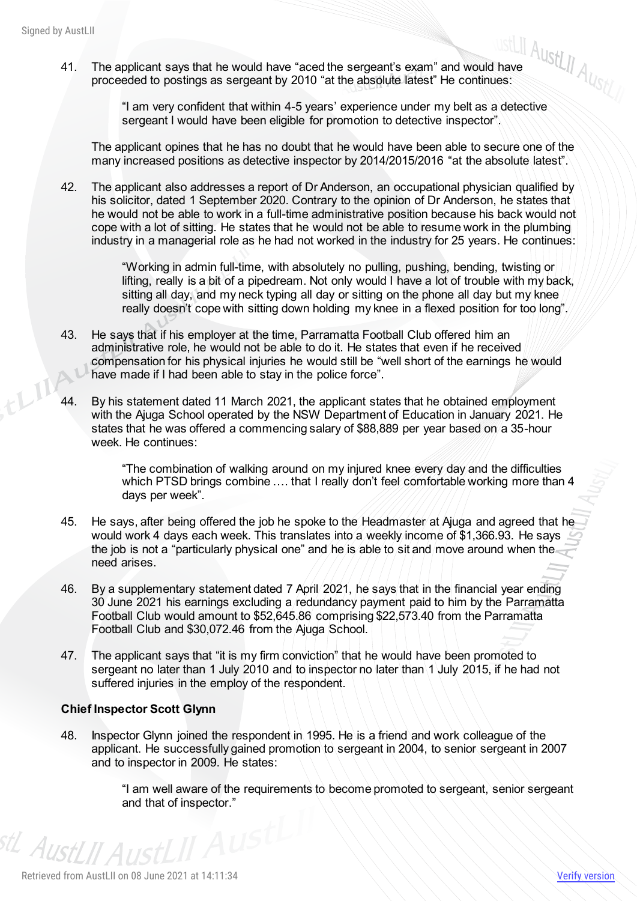41. The applicant says that he would have "aced the sergeant's exam" and would have proceeded to postings as sergeant by 2010 "at the absolute latest" He continues:

"I am very confident that within 4-5 years' experience under my belt as a detective sergeant I would have been eligible for promotion to detective inspector".

The applicant opines that he has no doubt that he would have been able to secure one of the many increased positions as detective inspector by 2014/2015/2016 "at the absolute latest".

42. The applicant also addresses a report of Dr Anderson, an occupational physician qualified by his solicitor, dated 1 September 2020. Contrary to the opinion of Dr Anderson, he states that he would not be able to work in a full-time administrative position because his back would not cope with a lot of sitting. He states that he would not be able to resume work in the plumbing industry in a managerial role as he had not worked in the industry for 25 years. He continues:

> "Working in admin full-time, with absolutely no pulling, pushing, bending, twisting or lifting, really is a bit of a pipedream. Not only would I have a lot of trouble with my back, sitting all day, and my neck typing all day or sitting on the phone all day but my knee really doesn't cope with sitting down holding my knee in a flexed position for too long".

- 43. He says that if his employer at the time, Parramatta Football Club offered him an administrative role, he would not be able to do it. He states that even if he received compensation for his physical injuries he would still be "well short of the earnings he would have made if I had been able to stay in the police force".
- 44. By his statement dated 11 March 2021, the applicant states that he obtained employment with the Ajuga School operated by the NSW Department of Education in January 2021. He states that he was offered a commencing salary of \$88,889 per year based on a 35-hour week. He continues:

"The combination of walking around on my injured knee every day and the difficulties which PTSD brings combine .... that I really don't feel comfortable working more than 4 days per week".

- 45. He says, after being offered the job he spoke to the Headmaster at Ajuga and agreed that he would work 4 days each week. This translates into a weekly income of \$1,366.93. He says the job is not a "particularly physical one" and he is able to sit and move around when the need arises.
- 46. By a supplementary statement dated 7 April 2021, he says that in the financial year ending 30 June 2021 his earnings excluding a redundancy payment paid to him by the Parramatta Football Club would amount to \$52,645.86 comprising \$22,573.40 from the Parramatta Football Club and \$30,072.46 from the Ajuga School.
- 47. The applicant says that "it is my firm conviction" that he would have been promoted to sergeant no later than 1 July 2010 and to inspector no later than 1 July 2015, if he had not suffered injuries in the employ of the respondent.

#### **Chief Inspector Scott Glynn**

48. Inspector Glynn joined the respondent in 1995. He is a friend and work colleague of the applicant. He successfully gained promotion to sergeant in 2004, to senior sergeant in 2007 and to inspector in 2009. He states:

> "I am well aware of the requirements to become promoted to sergeant, senior sergeant and that of inspector."

<sup>stL</sup> AustLII Aust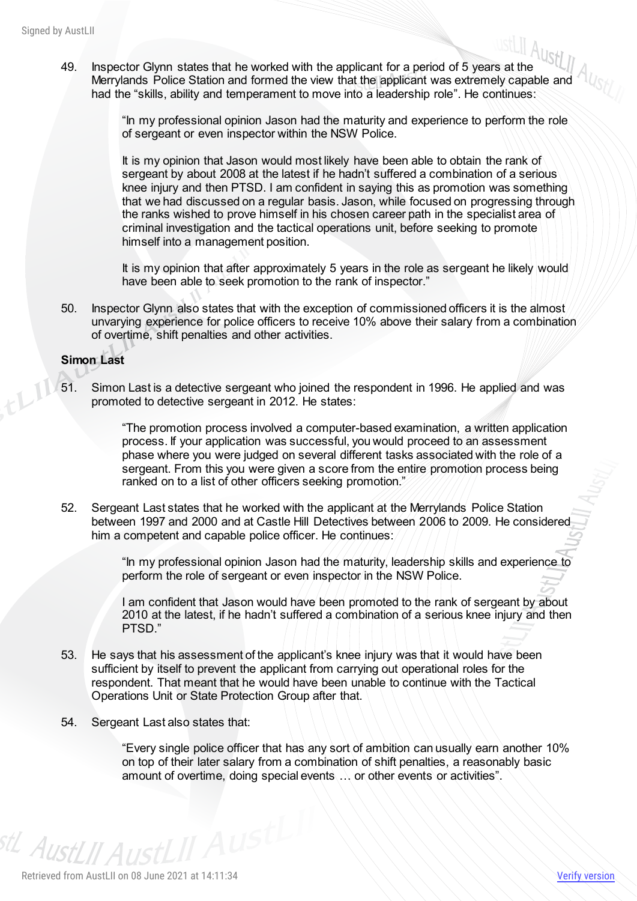AustLII<br>49. Inspector Glynn states that he worked with the applicant for a period of 5 years at the WOLLI Ally Merrylands Police Station and formed the view that the applicant was extremely capable and had the "skills, ability and temperament to move into a leadership role". He continues:

> "In my professional opinion Jason had the maturity and experience to perform the role of sergeant or even inspector within the NSW Police.

It is my opinion that Jason would most likely have been able to obtain the rank of sergeant by about 2008 at the latest if he hadn't suffered a combination of a serious knee injury and then PTSD. I am confident in saying this as promotion was something that we had discussed on a regular basis. Jason, while focused on progressing through the ranks wished to prove himself in his chosen career path in the specialist area of criminal investigation and the tactical operations unit, before seeking to promote himself into a management position.

It is my opinion that after approximately 5 years in the role as sergeant he likely would have been able to seek promotion to the rank of inspector."

50. Inspector Glynn also states that with the exception of commissioned officers it is the almost unvarying experience for police officers to receive 10% above their salary from a combination of overtime, shift penalties and other activities.

#### **Simon Last**

51. Simon Last is a detective sergeant who joined the respondent in 1996. He applied and was promoted to detective sergeant in 2012. He states:

> "The promotion process involved a computer-based examination, a written application process. If your application was successful, you would proceed to an assessment phase where you were judged on several different tasks associated with the role of a sergeant. From this you were given a score from the entire promotion process being ranked on to a list of other officers seeking promotion."

52. Sergeant Last states that he worked with the applicant at the Merrylands Police Station between 1997 and 2000 and at Castle Hill Detectives between 2006 to 2009. He considered him a competent and capable police officer. He continues:

> "In my professional opinion Jason had the maturity, leadership skills and experience to perform the role of sergeant or even inspector in the NSW Police.

> I am confident that Jason would have been promoted to the rank of sergeant by about 2010 at the latest, if he hadn't suffered a combination of a serious knee injury and then PTSD."

- 53. He says that his assessment of the applicant's knee injury was that it would have been sufficient by itself to prevent the applicant from carrying out operational roles for the respondent. That meant that he would have been unable to continue with the Tactical Operations Unit or State Protection Group after that.
- 54. Sergeant Last also states that:

"Every single police officer that has any sort of ambition can usually earn another 10% on top of their later salary from a combination of shift penalties, a reasonably basic amount of overtime, doing special events … or other events or activities".

<sup>stL</sup> AustLII AustLII Austl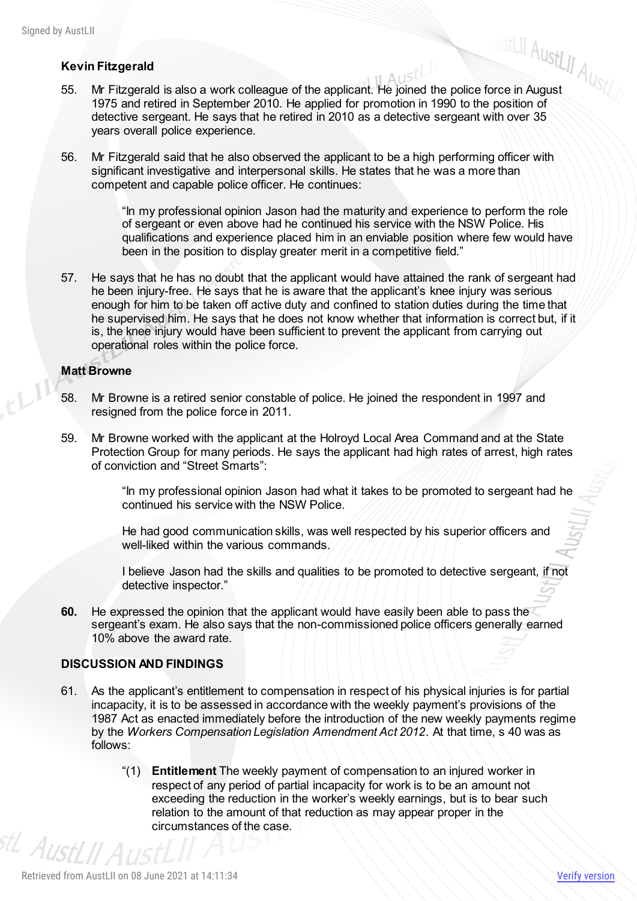#### **Kevin Fitzgerald**

- AustLII<br>**Kevin Fitzgerald**<br>55. Mr Fitzgerald is also a work colleague of the applicant. He joined the police force in August<br>15. Mr Fitzgerald is also a work colleague of the applicant. He joined the police force in Augus 1975 and retired in September 2010. He applied for promotion in 1990 to the position of detective sergeant. He says that he retired in 2010 as a detective sergeant with over 35 years overall police experience.
- 56. Mr Fitzgerald said that he also observed the applicant to be a high performing officer with significant investigative and interpersonal skills. He states that he was a more than competent and capable police officer. He continues:

"In my professional opinion Jason had the maturity and experience to perform the role of sergeant or even above had he continued his service with the NSW Police. His qualifications and experience placed him in an enviable position where few would have been in the position to display greater merit in a competitive field."

57. He says that he has no doubt that the applicant would have attained the rank of sergeant had he been injury-free. He says that he is aware that the applicant's knee injury was serious enough for him to be taken off active duty and confined to station duties during the time that he supervised him. He says that he does not know whether that information is correct but, if it is, the knee injury would have been sufficient to prevent the applicant from carrying out operational roles within the police force.

#### **Matt Browne**

- 58. Mr Browne is a retired senior constable of police. He joined the respondent in 1997 and resigned from the police force in 2011.
- 59. Mr Browne worked with the applicant at the Holroyd Local Area Command and at the State Protection Group for many periods. He says the applicant had high rates of arrest, high rates of conviction and "Street Smarts":

"In my professional opinion Jason had what it takes to be promoted to sergeant had he continued his service with the NSW Police.

He had good communication skills, was well respected by his superior officers and well-liked within the various commands.

I believe Jason had the skills and qualities to be promoted to detective sergeant, if not detective inspector."

**60.** He expressed the opinion that the applicant would have easily been able to pass the sergeant's exam. He also says that the non-commissioned police officers generally earned 10% above the award rate.

#### **DISCUSSION AND FINDINGS**

- 61. As the applicant's entitlement to compensation in respect of his physical injuries is for partial incapacity, it is to be assessed in accordance with the weekly payment's provisions of the 1987 Act as enacted immediately before the introduction of the new weekly payments regime by the *Workers Compensation Legislation Amendment Act 2012*. At that time, s 40 was as follows:
- "(1) **Entitlement** The weekly payment of compensation to an injured worker in respect of any period of partial incapacity for work is to be an amount not exceeding the reduction in the worker's weekly earnings, but is to bear such relation to the amount of that reduction as may appear proper in the circumstances of the case. <sup>stL</sup> AustLII A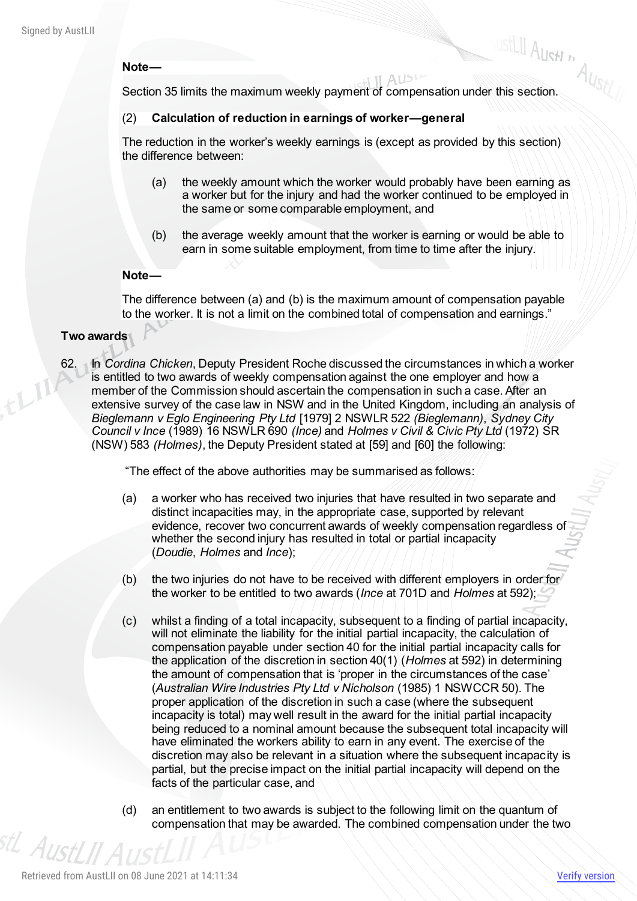#### **Note—**

Note—<br>Section 35 limits the maximum weekly payment of compensation under this section.

#### (2) **Calculation of reduction in earnings of worker—general**

The reduction in the worker's weekly earnings is (except as provided by this section) the difference between:

(a) the weekly amount which the worker would probably have been earning as a worker but for the injury and had the worker continued to be employed in the same or some comparable employment, and

 $A15<sup>t</sup>$ 

(b) the average weekly amount that the worker is earning or would be able to earn in some suitable employment, from time to time after the injury.

#### **Note—**

The difference between (a) and (b) is the maximum amount of compensation payable to the worker. It is not a limit on the combined total of compensation and earnings."

#### **Two awards**

62. In *Cordina Chicken*, Deputy President Roche discussed the circumstances in which a worker is entitled to two awards of weekly compensation against the one employer and how a member of the Commission should ascertain the compensation in such a case. After an extensive survey of the case law in NSW and in the United Kingdom, including an analysis of *Bieglemann v Eglo Engineering Pty Ltd* [1979] 2 NSWLR 522 *(Bieglemann)*, *Sydney City Council v Ince* (1989) 16 NSWLR 690 *(Ince)* and *Holmes v Civil & Civic Pty Ltd* (1972) SR (NSW) 583 *(Holmes)*, the Deputy President stated at [59] and [60] the following:

"The effect of the above authorities may be summarised as follows:

- (a) a worker who has received two injuries that have resulted in two separate and distinct incapacities may, in the appropriate case, supported by relevant evidence, recover two concurrent awards of weekly compensation regardless of whether the second injury has resulted in total or partial incapacity (*Doudie*, *Holmes* and *Ince*);
- (b) the two injuries do not have to be received with different employers in order for the worker to be entitled to two awards (*Ince* at 701D and *Holmes* at 592);
- (c) whilst a finding of a total incapacity, subsequent to a finding of partial incapacity, will not eliminate the liability for the initial partial incapacity, the calculation of compensation payable under section 40 for the initial partial incapacity calls for the application of the discretion in section 40(1) (*Holmes* at 592) in determining the amount of compensation that is 'proper in the circumstances of the case' (*Australian Wire Industries Pty Ltd v Nicholson* [\(1985\) 1 NSWCCR 50\).](http://classic.austlii.edu.au/cgi-bin/LawCite?cit=%281985%29%201%20NSWCCR%2050?stem=0&synonyms=0&query=title(Cordina%20)) The proper application of the discretion in such a case (where the subsequent incapacity is total) may well result in the award for the initial partial incapacity being reduced to a nominal amount because the subsequent total incapacity will have eliminated the workers ability to earn in any event. The exercise of the discretion may also be relevant in a situation where the subsequent incapacity is partial, but the precise impact on the initial partial incapacity will depend on the facts of the particular case, and
- (d) an entitlement to two awards is subject to the following limit on the quantum of compensation that may be awarded. The combined compensation under the two <sup>stL</sup> AustLII Aus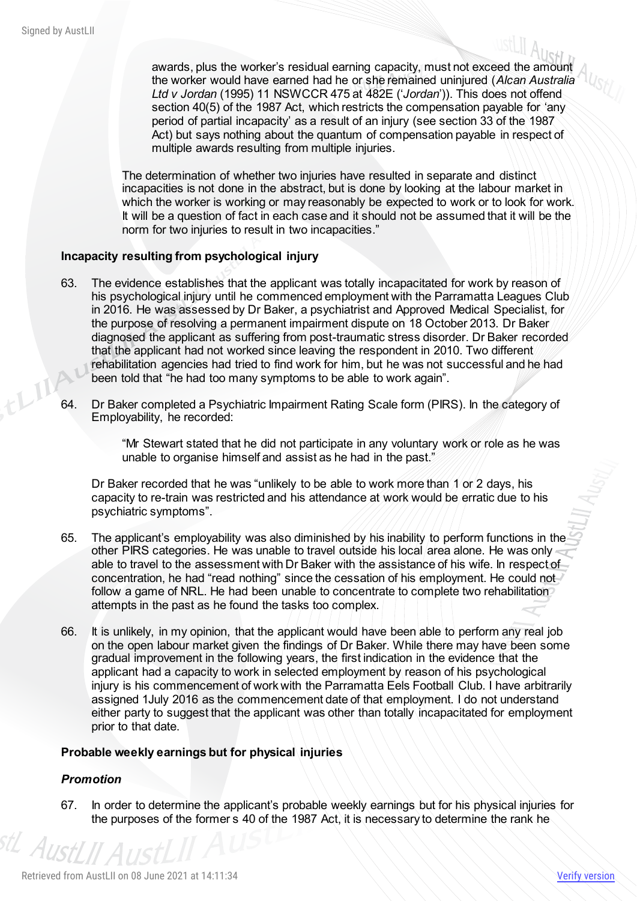awards, plus the worker's residual earning capacity, must not exceed the amount the worker would have earned had he or she remained uninjured (*Alcan Australia Ltd v Jordan* [\(1995\) 11 NSWCCR 475](http://classic.austlii.edu.au/cgi-bin/LawCite?cit=%281995%29%2011%20NSWCCR%20475?stem=0&synonyms=0&query=title(Cordina%20)) at 482E ('*Jordan*')). This does not offend section 40(5) of the 1987 Act, which restricts the compensation payable for 'any period of partial incapacity' as a result of an injury (see section 33 of the 1987 Act) but says nothing about the quantum of compensation payable in respect of multiple awards resulting from multiple injuries.

The determination of whether two injuries have resulted in separate and distinct incapacities is not done in the abstract, but is done by looking at the labour market in which the worker is working or may reasonably be expected to work or to look for work. It will be a question of fact in each case and it should not be assumed that it will be the norm for two injuries to result in two incapacities."

#### **Incapacity resulting from psychological injury**

- 63. The evidence establishes that the applicant was totally incapacitated for work by reason of his psychological injury until he commenced employment with the Parramatta Leagues Club in 2016. He was assessed by Dr Baker, a psychiatrist and Approved Medical Specialist, for the purpose of resolving a permanent impairment dispute on 18 October 2013. Dr Baker diagnosed the applicant as suffering from post-traumatic stress disorder. Dr Baker recorded that the applicant had not worked since leaving the respondent in 2010. Two different rehabilitation agencies had tried to find work for him, but he was not successful and he had been told that "he had too many symptoms to be able to work again".
- 64. Dr Baker completed a Psychiatric Impairment Rating Scale form (PIRS). In the category of Employability, he recorded:

"Mr Stewart stated that he did not participate in any voluntary work or role as he was unable to organise himself and assist as he had in the past."

Dr Baker recorded that he was "unlikely to be able to work more than 1 or 2 days, his capacity to re-train was restricted and his attendance at work would be erratic due to his psychiatric symptoms".

- 65. The applicant's employability was also diminished by his inability to perform functions in the other PIRS categories. He was unable to travel outside his local area alone. He was only able to travel to the assessment with Dr Baker with the assistance of his wife. In respect of concentration, he had "read nothing" since the cessation of his employment. He could not follow a game of NRL. He had been unable to concentrate to complete two rehabilitation attempts in the past as he found the tasks too complex.
- 66. It is unlikely, in my opinion, that the applicant would have been able to perform any real job on the open labour market given the findings of Dr Baker. While there may have been some gradual improvement in the following years, the first indication in the evidence that the applicant had a capacity to work in selected employment by reason of his psychological injury is his commencement of work with the Parramatta Eels Football Club. I have arbitrarily assigned 1July 2016 as the commencement date of that employment. I do not understand either party to suggest that the applicant was other than totally incapacitated for employment prior to that date.

#### **Probable weekly earnings but for physical injuries**

#### *Promotion*

AustLII A

67. In order to determine the applicant's probable weekly earnings but for his physical injuries for the purposes of the former s 40 of the 1987 Act, it is necessary to determine the rank he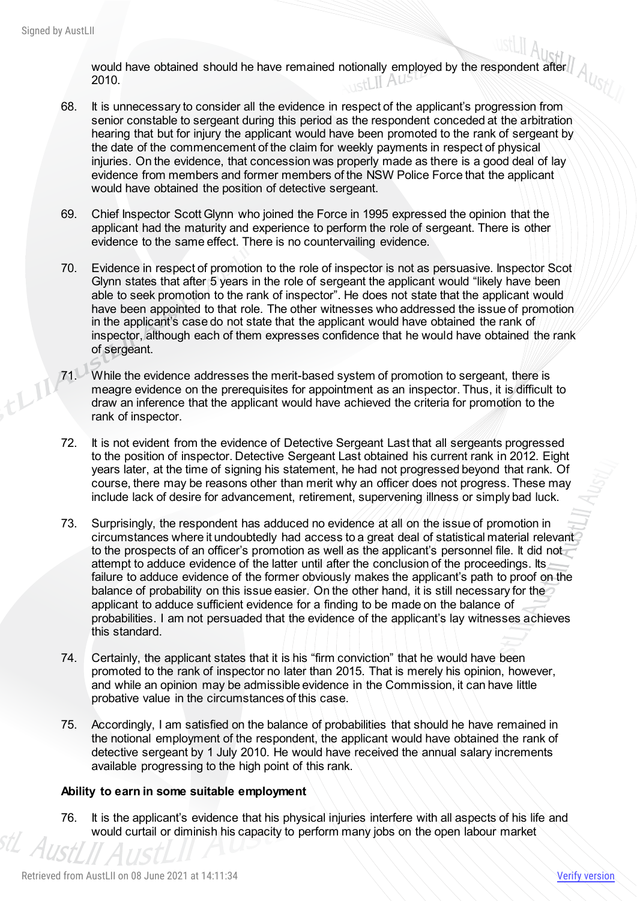would have obtained should he have remained notionally employed by the respondent after 2010.

- 68. It is unnecessary to consider all the evidence in respect of the applicant's progression from senior constable to sergeant during this period as the respondent conceded at the arbitration hearing that but for injury the applicant would have been promoted to the rank of sergeant by the date of the commencement of the claim for weekly payments in respect of physical injuries. On the evidence, that concession was properly made as there is a good deal of lay evidence from members and former members of the NSW Police Force that the applicant would have obtained the position of detective sergeant.
- 69. Chief Inspector Scott Glynn who joined the Force in 1995 expressed the opinion that the applicant had the maturity and experience to perform the role of sergeant. There is other evidence to the same effect. There is no countervailing evidence.
- 70. Evidence in respect of promotion to the role of inspector is not as persuasive. Inspector Scot Glynn states that after 5 years in the role of sergeant the applicant would "likely have been able to seek promotion to the rank of inspector". He does not state that the applicant would have been appointed to that role. The other witnesses who addressed the issue of promotion in the applicant's case do not state that the applicant would have obtained the rank of inspector, although each of them expresses confidence that he would have obtained the rank of sergeant.
- 71. While the evidence addresses the merit-based system of promotion to sergeant, there is meagre evidence on the prerequisites for appointment as an inspector. Thus, it is difficult to draw an inference that the applicant would have achieved the criteria for promotion to the rank of inspector.
	- 72. It is not evident from the evidence of Detective Sergeant Last that all sergeants progressed to the position of inspector. Detective Sergeant Last obtained his current rank in 2012. Eight years later, at the time of signing his statement, he had not progressed beyond that rank. Of course, there may be reasons other than merit why an officer does not progress. These may include lack of desire for advancement, retirement, supervening illness or simply bad luck.
	- 73. Surprisingly, the respondent has adduced no evidence at all on the issue of promotion in circumstances where it undoubtedly had access to a great deal of statistical material relevant to the prospects of an officer's promotion as well as the applicant's personnel file. It did not attempt to adduce evidence of the latter until after the conclusion of the proceedings. Its failure to adduce evidence of the former obviously makes the applicant's path to proof on the balance of probability on this issue easier. On the other hand, it is still necessary for the applicant to adduce sufficient evidence for a finding to be made on the balance of probabilities. I am not persuaded that the evidence of the applicant's lay witnesses achieves this standard.
	- 74. Certainly, the applicant states that it is his "firm conviction" that he would have been promoted to the rank of inspector no later than 2015. That is merely his opinion, however, and while an opinion may be admissible evidence in the Commission, it can have little probative value in the circumstances of this case.
	- 75. Accordingly, I am satisfied on the balance of probabilities that should he have remained in the notional employment of the respondent, the applicant would have obtained the rank of detective sergeant by 1 July 2010. He would have received the annual salary increments available progressing to the high point of this rank.

#### **Ability to earn in some suitable employment**

76. It is the applicant's evidence that his physical injuries interfere with all aspects of his life and would curtail or diminish his capacity to perform many jobs on the open labour market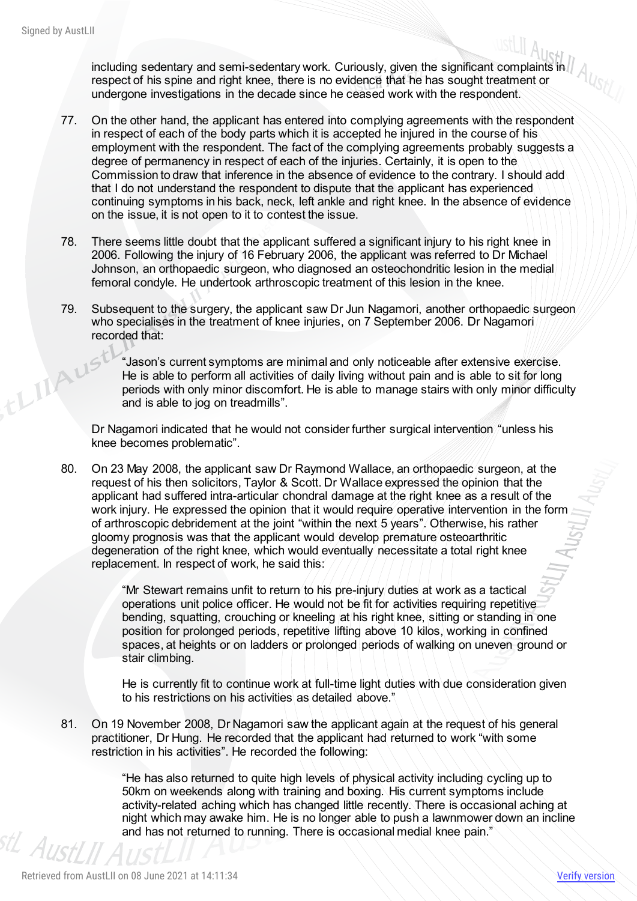thingu

including sedentary and semi-sedentary work. Curiously, given the significant complaints in respect of his spine and right knee, there is no evidence that he has sought treatment or undergone investigations in the decade since he ceased work with the respondent.

- 77. On the other hand, the applicant has entered into complying agreements with the respondent in respect of each of the body parts which it is accepted he injured in the course of his employment with the respondent. The fact of the complying agreements probably suggests a degree of permanency in respect of each of the injuries. Certainly, it is open to the Commission to draw that inference in the absence of evidence to the contrary. I should add that I do not understand the respondent to dispute that the applicant has experienced continuing symptoms in his back, neck, left ankle and right knee. In the absence of evidence on the issue, it is not open to it to contest the issue.
- 78. There seems little doubt that the applicant suffered a significant injury to his right knee in 2006. Following the injury of 16 February 2006, the applicant was referred to Dr Michael Johnson, an orthopaedic surgeon, who diagnosed an osteochondritic lesion in the medial femoral condyle. He undertook arthroscopic treatment of this lesion in the knee.
- 79. Subsequent to the surgery, the applicant saw Dr Jun Nagamori, another orthopaedic surgeon who specialises in the treatment of knee injuries, on 7 September 2006. Dr Nagamori recorded that:

"Jason's current symptoms are minimal and only noticeable after extensive exercise. He is able to perform all activities of daily living without pain and is able to sit for long periods with only minor discomfort. He is able to manage stairs with only minor difficulty and is able to jog on treadmills".

Dr Nagamori indicated that he would not consider further surgical intervention "unless his knee becomes problematic".

80. On 23 May 2008, the applicant saw Dr Raymond Wallace, an orthopaedic surgeon, at the request of his then solicitors, Taylor & Scott. Dr Wallace expressed the opinion that the applicant had suffered intra-articular chondral damage at the right knee as a result of the work injury. He expressed the opinion that it would require operative intervention in the form of arthroscopic debridement at the joint "within the next 5 years". Otherwise, his rather gloomy prognosis was that the applicant would develop premature osteoarthritic degeneration of the right knee, which would eventually necessitate a total right knee replacement. In respect of work, he said this:

> "Mr Stewart remains unfit to return to his pre-injury duties at work as a tactical operations unit police officer. He would not be fit for activities requiring repetitive bending, squatting, crouching or kneeling at his right knee, sitting or standing in one position for prolonged periods, repetitive lifting above 10 kilos, working in confined spaces, at heights or on ladders or prolonged periods of walking on uneven ground or stair climbing.

> He is currently fit to continue work at full-time light duties with due consideration given to his restrictions on his activities as detailed above."

81. On 19 November 2008, Dr Nagamori saw the applicant again at the request of his general practitioner, Dr Hung. He recorded that the applicant had returned to work "with some restriction in his activities". He recorded the following:

"He has also returned to quite high levels of physical activity including cycling up to 50km on weekends along with training and boxing. His current symptoms include activity-related aching which has changed little recently. There is occasional aching at night which may awake him. He is no longer able to push a lawnmower down an incline and has not returned to running. There is occasional medial knee pain."<br> $\frac{1}{2}$  A *i* i chi in the set of the set of the set of the set of the set of the set of the set of the set of the set of the set of the set of the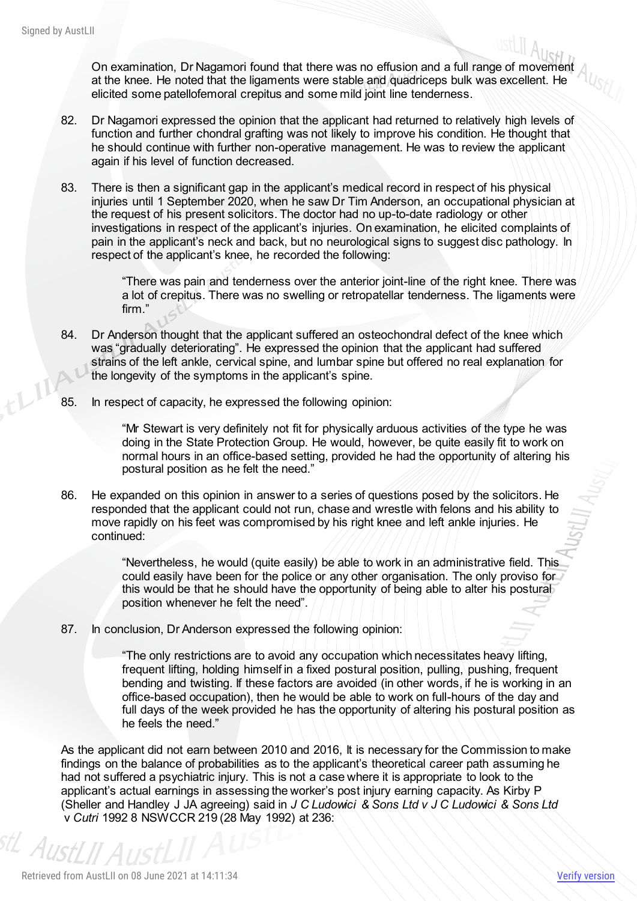On examination, Dr Nagamori found that there was no effusion and a full range of movement A at the knee. He noted that the ligaments were stable and quadriceps bulk was excellent. He elicited some patellofemoral crepitus and some mild joint line tenderness.

- 82. Dr Nagamori expressed the opinion that the applicant had returned to relatively high levels of function and further chondral grafting was not likely to improve his condition. He thought that he should continue with further non-operative management. He was to review the applicant again if his level of function decreased.
- 83. There is then a significant gap in the applicant's medical record in respect of his physical injuries until 1 September 2020, when he saw Dr Tim Anderson, an occupational physician at the request of his present solicitors. The doctor had no up-to-date radiology or other investigations in respect of the applicant's injuries. On examination, he elicited complaints of pain in the applicant's neck and back, but no neurological signs to suggest disc pathology. In respect of the applicant's knee, he recorded the following:

"There was pain and tenderness over the anterior joint-line of the right knee. There was a lot of crepitus. There was no swelling or retropatellar tenderness. The ligaments were firm."

- 84. Dr Anderson thought that the applicant suffered an osteochondral defect of the knee which was "gradually deteriorating". He expressed the opinion that the applicant had suffered strains of the left ankle, cervical spine, and lumbar spine but offered no real explanation for the longevity of the symptoms in the applicant's spine.
- 85. In respect of capacity, he expressed the following opinion:

"Mr Stewart is very definitely not fit for physically arduous activities of the type he was doing in the State Protection Group. He would, however, be quite easily fit to work on normal hours in an office-based setting, provided he had the opportunity of altering his postural position as he felt the need."

86. He expanded on this opinion in answer to a series of questions posed by the solicitors. He responded that the applicant could not run, chase and wrestle with felons and his ability to move rapidly on his feet was compromised by his right knee and left ankle injuries. He continued:

> "Nevertheless, he would (quite easily) be able to work in an administrative field. This could easily have been for the police or any other organisation. The only proviso for this would be that he should have the opportunity of being able to alter his postural position whenever he felt the need".

87. In conclusion, Dr Anderson expressed the following opinion:

"The only restrictions are to avoid any occupation which necessitates heavy lifting, frequent lifting, holding himself in a fixed postural position, pulling, pushing, frequent bending and twisting. If these factors are avoided (in other words, if he is working in an office-based occupation), then he would be able to work on full-hours of the day and full days of the week provided he has the opportunity of altering his postural position as he feels the need."

As the applicant did not earn between 2010 and 2016, It is necessary for the Commission to make findings on the balance of probabilities as to the applicant's theoretical career path assuming he had not suffered a psychiatric injury. This is not a case where it is appropriate to look to the applicant's actual earnings in assessing the worker's post injury earning capacity. As Kirby P (Sheller and Handley J JA agreeing) said in *J C Ludowici & Sons Ltd v J C Ludowici & Sons Ltd*  v *Cutri* 1992 8 NSWCCR 219 (28 May 1992) at 236:

AustLII Aus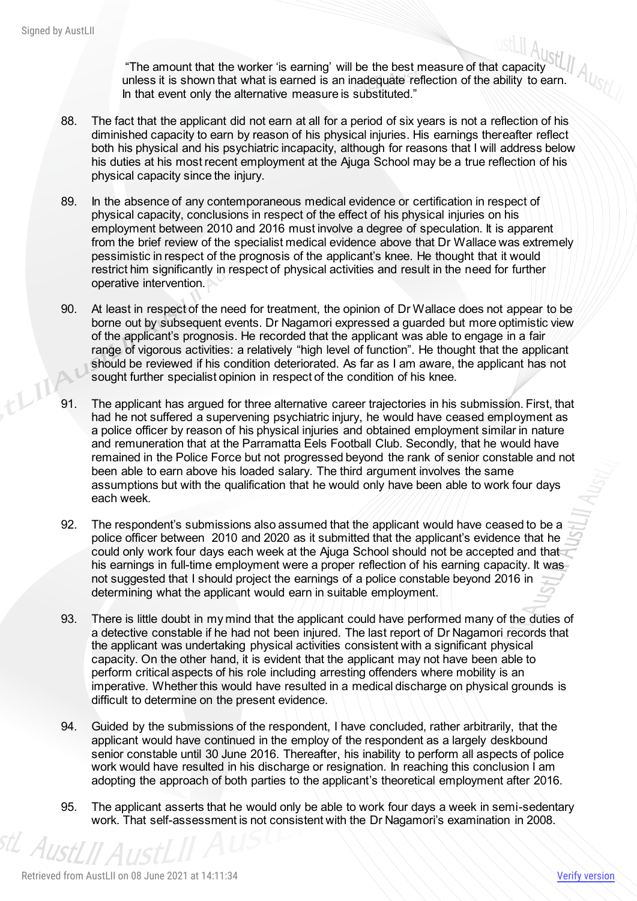"The amount that the worker 'is earning' will be the best measure of that capacity unless it is shown that what is earned is an inadequate reflection of the ability to earn. In that event only the alternative measure is substituted."

- 88. The fact that the applicant did not earn at all for a period of six years is not a reflection of his diminished capacity to earn by reason of his physical injuries. His earnings thereafter reflect both his physical and his psychiatric incapacity, although for reasons that I will address below his duties at his most recent employment at the Ajuga School may be a true reflection of his physical capacity since the injury.
- 89. In the absence of any contemporaneous medical evidence or certification in respect of physical capacity, conclusions in respect of the effect of his physical injuries on his employment between 2010 and 2016 must involve a degree of speculation. It is apparent from the brief review of the specialist medical evidence above that Dr Wallace was extremely pessimistic in respect of the prognosis of the applicant's knee. He thought that it would restrict him significantly in respect of physical activities and result in the need for further operative intervention.
- 90. At least in respect of the need for treatment, the opinion of Dr Wallace does not appear to be borne out by subsequent events. Dr Nagamori expressed a guarded but more optimistic view of the applicant's prognosis. He recorded that the applicant was able to engage in a fair range of vigorous activities: a relatively "high level of function". He thought that the applicant should be reviewed if his condition deteriorated. As far as I am aware, the applicant has not sought further specialist opinion in respect of the condition of his knee.
- 91. The applicant has argued for three alternative career trajectories in his submission. First, that had he not suffered a supervening psychiatric injury, he would have ceased employment as a police officer by reason of his physical injuries and obtained employment similar in nature and remuneration that at the Parramatta Eels Football Club. Secondly, that he would have remained in the Police Force but not progressed beyond the rank of senior constable and not been able to earn above his loaded salary. The third argument involves the same assumptions but with the qualification that he would only have been able to work four days each week.
- 92. The respondent's submissions also assumed that the applicant would have ceased to be a police officer between 2010 and 2020 as it submitted that the applicant's evidence that he could only work four days each week at the Ajuga School should not be accepted and that his earnings in full-time employment were a proper reflection of his earning capacity. It was not suggested that I should project the earnings of a police constable beyond 2016 in determining what the applicant would earn in suitable employment.
- 93. There is little doubt in my mind that the applicant could have performed many of the duties of a detective constable if he had not been injured. The last report of Dr Nagamori records that the applicant was undertaking physical activities consistent with a significant physical capacity. On the other hand, it is evident that the applicant may not have been able to perform critical aspects of his role including arresting offenders where mobility is an imperative. Whether this would have resulted in a medical discharge on physical grounds is difficult to determine on the present evidence.
- 94. Guided by the submissions of the respondent, I have concluded, rather arbitrarily, that the applicant would have continued in the employ of the respondent as a largely deskbound senior constable until 30 June 2016. Thereafter, his inability to perform all aspects of police work would have resulted in his discharge or resignation. In reaching this conclusion I am adopting the approach of both parties to the applicant's theoretical employment after 2016.
- 95. The applicant asserts that he would only be able to work four days a week in semi-sedentary work. That self-assessment is not consistent with the Dr Nagamori's examination in 2008.

AustL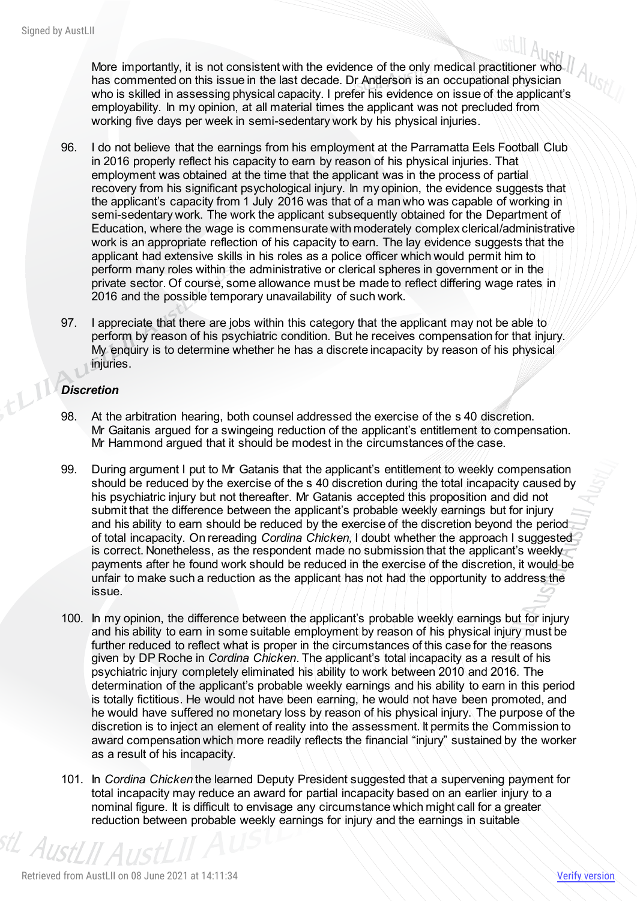More importantly, it is not consistent with the evidence of the only medical practitioner who has commented on this issue in the last decade. Dr Anderson is an occupational physician who is skilled in assessing physical capacity. I prefer his evidence on issue of the applicant's employability. In my opinion, at all material times the applicant was not precluded from working five days per week in semi-sedentary work by his physical injuries.

- 96. I do not believe that the earnings from his employment at the Parramatta Eels Football Club in 2016 properly reflect his capacity to earn by reason of his physical injuries. That employment was obtained at the time that the applicant was in the process of partial recovery from his significant psychological injury. In my opinion, the evidence suggests that the applicant's capacity from 1 July 2016 was that of a man who was capable of working in semi-sedentary work. The work the applicant subsequently obtained for the Department of Education, where the wage is commensurate with moderately complex clerical/administrative work is an appropriate reflection of his capacity to earn. The lay evidence suggests that the applicant had extensive skills in his roles as a police officer which would permit him to perform many roles within the administrative or clerical spheres in government or in the private sector. Of course, some allowance must be made to reflect differing wage rates in 2016 and the possible temporary unavailability of such work.
- 97. I appreciate that there are jobs within this category that the applicant may not be able to perform by reason of his psychiatric condition. But he receives compensation for that injury. My enquiry is to determine whether he has a discrete incapacity by reason of his physical injuries.

#### *Discretion*

- 98. At the arbitration hearing, both counsel addressed the exercise of the s 40 discretion. Mr Gaitanis argued for a swingeing reduction of the applicant's entitlement to compensation. Mr Hammond argued that it should be modest in the circumstances of the case.
- 99. During argument I put to Mr Gatanis that the applicant's entitlement to weekly compensation should be reduced by the exercise of the s 40 discretion during the total incapacity caused by his psychiatric injury but not thereafter. Mr Gatanis accepted this proposition and did not submit that the difference between the applicant's probable weekly earnings but for injury and his ability to earn should be reduced by the exercise of the discretion beyond the period of total incapacity. On rereading *Cordina Chicken,* I doubt whether the approach I suggested is correct. Nonetheless, as the respondent made no submission that the applicant's weekly payments after he found work should be reduced in the exercise of the discretion, it would be unfair to make such a reduction as the applicant has not had the opportunity to address the issue.
- 100. In my opinion, the difference between the applicant's probable weekly earnings but for injury and his ability to earn in some suitable employment by reason of his physical injury must be further reduced to reflect what is proper in the circumstances of this case for the reasons given by DP Roche in *Cordina Chicken*. The applicant's total incapacity as a result of his psychiatric injury completely eliminated his ability to work between 2010 and 2016. The determination of the applicant's probable weekly earnings and his ability to earn in this period is totally fictitious. He would not have been earning, he would not have been promoted, and he would have suffered no monetary loss by reason of his physical injury. The purpose of the discretion is to inject an element of reality into the assessment. It permits the Commission to award compensation which more readily reflects the financial "injury" sustained by the worker as a result of his incapacity.
- 101. In *Cordina Chicken* the learned Deputy President suggested that a supervening payment for total incapacity may reduce an award for partial incapacity based on an earlier injury to a nominal figure. It is difficult to envisage any circumstance which might call for a greater reduction between probable weekly earnings for injury and the earnings in suitable

<sup>stL</sup> AustLII A